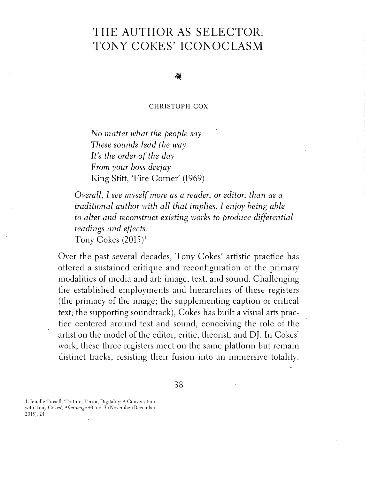# THE AUTHOR AS SELECTOR: TONY COKES' ICONOCLASM

**CHRISTOPH COX** 

No *matter what the people say These sounds lead the way It's the order of the day From your boss deejay*  King Stitt, 'Fire Corner' (1969)

*Overall, I see myself more as a reader, or editor, than as a traditional author with all that implies. I enjoy being able to alter and reconstruct existing works to produce differential readings and effects.*  Tony Cokes  $(2015)^1$ 

Over the past several decades, Tony Cokes' artistic practice has offered a sustained critique and reconfiguration of the primary modalities of media and art: image, text, and-sound. Challenging the established employments and hierarchies of these registers (the primacy of the image; the supplementing caption or critical text; the supporting soundtrack), Cokes has built a visual arts practice centered around text and sound, conceiving the role of the artist on the model of the editor, critic, theorist, and DJ. In Cokes' work, these three registers meet on the same platform but remain distinct tracks, resisting their fusion into an immersive totality.

38

1. Jenelle Troxell, 'Torture, Terror, Digitality: A Conversation with Tony Cokes', *Afterimage* 43, no. 3 (November/December 2015), 24.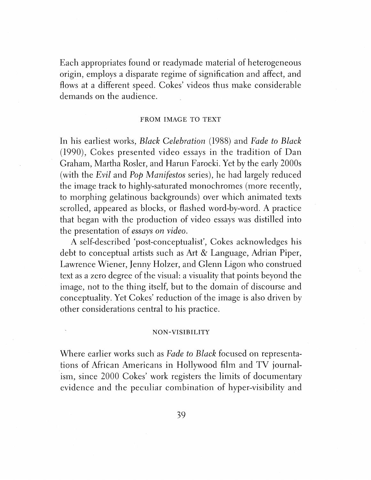Each appropriates found or readymade material of heterogeneous origin, employs a disparate regime of signification and affect, and flows at a different speed. Cokes' videos thus make considerable demands on the audience.

# FROM IMAGE TO TEXT

In his earliest works, *Black Celebration* (1988) and *Fade to Black*  (1990), Cokes presented video essays in the tradition of Dan Graham, Martha Rosler, and Harun Farocki. Yet by the early 2000s (with the *Evil* and *Pop Manifestos* series), he had largely reduced the image track to highly-saturated monochromes (more recently, to morphing gelatinous backgrounds) over which animated texts scrolled, appeared as blocks, or flashed word-by-word. A practice that began with the production of video essays was distilled into the presentation of *essays on video.* 

A self-described 'post-conceptualist', Cokes acknowledges his debt to conceptual artists such as Art & Language, Adrian Piper, Lawrence Wiener, Jenny Holzer, and Glenn Ligon who construed text as a zero degree of the visual: a visuality that points beyond the image, not to the thing itself, but to the domain of discourse and conceptuality. Yet Cokes' reduction of the image is also driven by other considerations central to his practice.

# **NON-VISIBILITY**

Where earlier works such as *Fade to Black* focused on representations of African Americans in Hollywood film and TV journalism, since 2000 Cokes' work registers the limits of documentary evidence and the peculiar combination of hyper-visibility and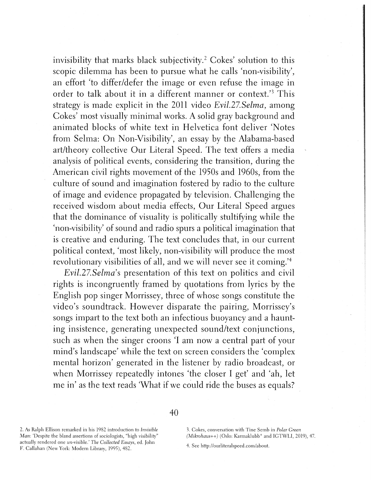invisibility that marks black subjectivity.<sup>2</sup> Cokes' solution to this scopic dilemma has been to pursue what he calls 'non-visibility', an effort 'to differ/defer the image or even refuse the image in order to talk about it in a different manner or context.<sup>3</sup> This strategy is made explicit in the 2011 video *Evil.27.Selma,* among Cokes' most visually minimal works. A solid gray background and animated blocks of white text in Helvetica font deliver 'Notes from Selma: On Non-Visibility', an essay by the Alabama-based art/theory collective Our Literal Speed. The text offers a media analysis of political events, considering the transition, during the American civil rights movement of the 1950s and 1960s, from the culture of sound and imagination fostered by radio to the culture of image and evidence propagated by television. Challenging the received wisdom about media effects, Our Literal Speed argues that the dominance of visuality is politically stultifying while the 'non-visibility' of sound and radio spurs a political imagination that is creative and enduring. The text concludes that, in our current political context, 'most likely, non-visibility will produce the most revolutionary visibilities of all, and we will never see it coming.<sup>'4</sup>

*Evil.27.Selma's* presentation of this text on politics and civil rights is incongruently framed by quotations from lyrics by the English pop singer Morrissey, three of whose songs constitute the video's soundtrack. However disparate the pairing, Morrissey's songs impart to the text both an infectious buoyancy and a haunting insistence, generating unexpected sound/text conjunctions, such as when the singer croons 'I am now a central part of your mind's landscape' while the text on screen considers the 'complex mental horizon' generated in the listener by radio broadcast, or when Morrissey repeatedly intones 'the closer I get' and 'ah, let me in' as the text reads 'What if we could ride the buses as equals?

2. As Ralph Ellison remarked in his 1982 introduction to *Invisible Man:* 'Despite the bland assertions of sociologists, "high visibility" actually rendered one un-visible.' *The Collected Essays,* ed. John F. Callahan (New York: Modem Library, 1995), 482.

40

3. Cokes, conversation with Tine Semb in *Polar Green (Mikrohaus++)* (Oslo: Karmaklubb\* and IGTWLI, 2019), 47.

4. See http://ourliteralspeed.com/about.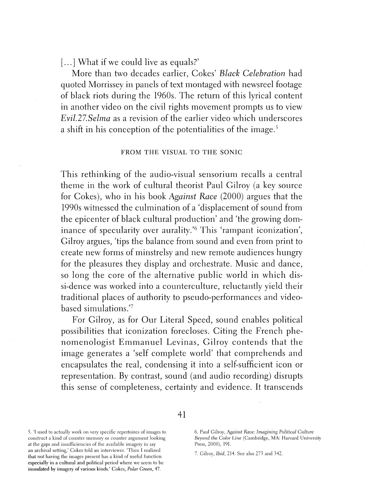[...] What if we could live as equals?'

More than two decades earlier, Cokes' *Black Celebration* had quoted Morrissey in panels of text montaged with newsreel footage of black riots during the 1960s. The return of this lyrical content in another video on the civil rights movement prompts us to view *Evil.27.Selma* as a revision of the earlier video which underscores a shift in his conception of the potentialities of the image.<sup>5</sup>

### FROM THE VISUAL TO THE SONIC

This rethinking of the audio-visual sensorium recalls a central theme in the work of cultural theorist Paul Gilroy (a key source for Cokes), who in his book *Against Race* (2000) argues that the 1990s witnessed the culmination of a 'displacement of sound from the epicenter of black cultural production' and 'the growing dominance of specularity over aurality.<sup>'6</sup> This 'rampant iconization', Gilroy argues, 'tips the balance from sound and even from print to create new forms of minstrelsy and new remote audiences hungry for the pleasures they display and orchestrate. Music and dance, so long the core of the alternative public world in which dissi-dence was worked into a counterculture, reluctantly yield their traditional places of authority to pseudo-performances and videobased simulations.<sup>'7</sup>

For Gilroy, as for Our Literal Speed, sound enables political possibilities that iconization forecloses. Citing the French phenomenologist Emmanuel Levinas, Gilroy contends that the image generates a 'self complete world' that comprehends and encapsulates the real, condensing it into a self-sufficient icon or representation. By contrast, sound (and audio recording) disrupts this sense of completeness, certainty and evidence. It transcends

5. 'I used to actually work on very specific repertoires of images to construct a kind of counter memory or counter argument looking at the gaps and insufficiencies of the available imagery in say an archival setting,' Cokes told an interviewer. 'Then I realized that *not* having the images present has a kind of useful function

especially in a cultural and political period where we seem to be inundated by imagery of various kinds.' Cokes, *Polar Green,* 47.

6. Paul Gilroy, *Against Race: Imagining Political Culture Beyond the Color Line* (Cambridge, MA: Harvard University Press, 2000), 191.

7. Gilroy, *Ibid,* 214. See also 273 and 342.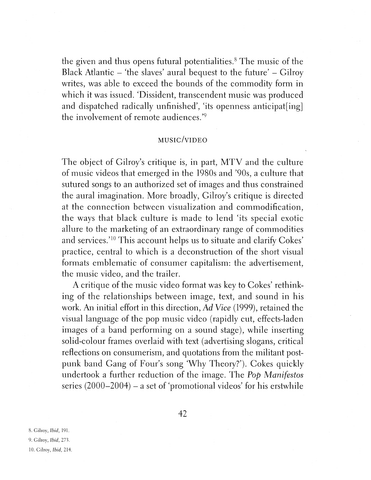the given and thus opens futural potentialities. 8 The music of the Black Atlantic  $-$  'the slaves' aural bequest to the future'  $-$  Gilroy writes, was able to exceed the bounds of the commodity form in which it was issued. 'Dissident, transcendent music was produced and dispatched radically unfinished', 'its openness anticipat[ing] the involvement of remote audiences.<sup>'9</sup>

# **MUSIC/VIDEO**

The object of Gilroy's critique is, in part, MTV and the culture of music videos that emerged in the 1980s and '90s, a culture that sutured songs to an authorized set of images and thus constrained the aural imagination. More broadly, Gilroy's critique is directed at the connection between visualization and commodification, the ways that black culture is made to lend 'its special exotic allure to the marketing of an extraordinary range of commodities and services.<sup>'10</sup> This account helps us to situate and clarify Cokes' practice, central to which is a deconstruction of the short visual formats emblematic of consumer capitalism: the advertisement, the music video, and the trailer.

A critique of the music video format was key to Cokes' rethinking of the relationships between image, text, and sound in his work. An initial effort in this direction, *Ad Vice* (1999), retained the visual language of the pop music video (rapidly cut, effects-laden images of a band performing on a sound stage), while inserting solid-colour frames overlaid with text ( advertising slogans, critical reflections on consumerism, and quotations from the militant postpunk band Gang of Four's song 'Why Theory?'). Cokes quickly undertook a further reduction of the image. The *Pop Manifestos* series  $(2000-2004)$  – a set of 'promotional videos' for his erstwhile

8. Gilroy, *Ibid,* 191.

9. Gilroy, *Ibid,* 273.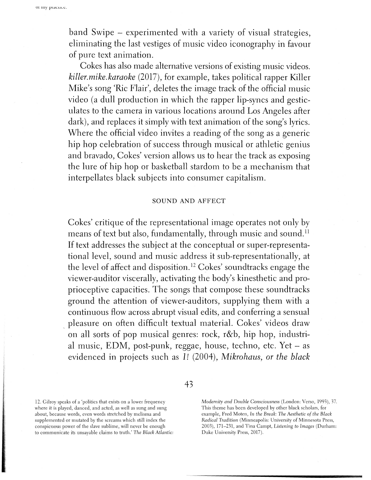or my pracuce.

band Swipe - experimented with a variety of visual strategies, eliminating the last vestiges of music video iconography in favour of pure text animation.

Cokes has also made alternative versions of existing music videos. *killer.mike.karaoke* (2017), for example, takes political rapper Killer Mike's song 'Ric Flair', deletes the image track of the official music video (a dull production in which the rapper lip-syncs and gesticulates to the camera in various locations around Los Angeles after dark), and replaces it simply with text animation of the song's lyrics. Where the official video invites a reading of the song as a generic hip hop celebration of success through musical or athletic genius and bravado, Cokes' version allows us to hear the track as exposing the lure of hip hop or basketball stardom to be a mechanism that interpellates black subjects into consumer capitalism.

### **SOUND AND** AFFECT

Cokes' critique of the representational image operates not only by means of text but also, fundamentally, through music and sound.<sup>11</sup> If text addresses the subject at the conceptual or super-representational level, sound and music address it sub-representationally, at the level of affect and disposition. 12 Cokes' soundtracks engage the viewer-auditor viscerally, activating the body's kinesthetic and proprioceptive capacities. The songs that compose these soundtracks ground the attention of viewer-auditors, supplying them with a continuous flow across abrupt visual edits, and conferring a sensual \_ pleasure on often difficult textual material. Cokes' videos draw on all sorts of pop musical genres: rock, r&b, hip hop, industrial music, EDM, post-punk, reggae, house, techno, etc. Yet - as evidenced in projects such as *l!* (2004), *Mikrohaus, or the black* 

43

12. Gilroy speaks of a 'politics that exists on a lower frequency where it is played, danced, and acted, as well as sung and sung about, because words, even words stretched by melisma and supplemented or mutated by the screams which still index the conspicuous power of the slave sublime, will never be enough to communicate its unsayable claims to truth.' *The Black Atlantic:*  *Modernity and Double Consciousness* (London: Verso, 1993), 37. This theme has been developed by other black scholars, for example, Fred Moten, *In the Break: The Aesthetic of the Black Radical Tradition* (Minneapolis: University of Minnesota Press, 2003), 171-231, and Tina Campt, *Listening to Images* (Durham: Duke University Press, 2017).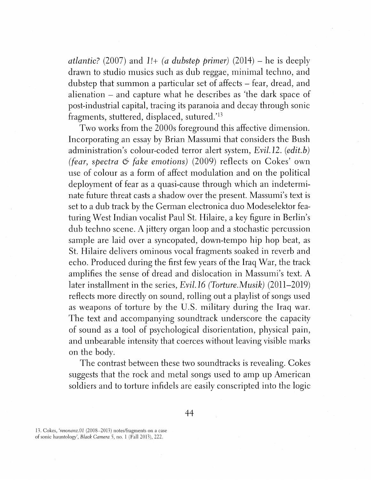*atlantic?* (2007) and  $1!$ + (*a dubstep primer*) (2014) – he is deeply drawn to studio musics such as dub reggae, minimal techno, and dubstep that summon a particular set of affects – fear, dread, and alienation - and capture what he describes as 'the dark space of post-industrial capital, tracing its paranoia and decay through sonic fragments, stuttered, displaced, sutured.'<sup>13</sup>

Two works from the 2000s foreground this affective dimension. Incorporating an essay by Brian Massumi that considers the Bush administration's colour-coded terror alert system, *Evil.12. (edit.b) (fear, spectra 6 fake emotions)* (2009) reflects on Cokes' own use of colour as a form of affect modulation and on the political deployment of fear as a quasi-cause through which an indeterminate future threat casts a shadow over the present. Massumi's text is set to a dub track by the German electronica duo Modeselektor featuring West Indian vocalist Paul St. Hilaire, a key figure in Berlin's dub techno scene. A jittery organ loop and a stochastic percussion sample are laid over a syncopated, down-tempo hip hop beat, as St. Hilaire delivers ominous vocal fragments soaked in reverb and echo. Produced during the first few years of the Iraq War, the track amplifies the sense of dread and dislocation in Massumi's text. A later installment in the series, *Evil.16 (Torture.Musik)* (2011-2019) reflects more directly on sound, rolling out a playlist of songs used as weapons of torture by the U.S. military during the Iraq war. The text and accompanying soundtrack underscore the capacity of sound as a tool of psychological disorientation, physical pain, and unbearable intensity that coerces without leaving visible marks on the body.

The contrast between these two soundtracks is revealing. Cokes suggests that the rock and metal songs used to amp up American soldiers and to torture infidels are easily conscripted into the logic

44

13. Cokes, *'resonan:z.01* (2008-2013) notes/fragments on a case of sonic hauntology', *Black Camera* 5, no. 1 (Fall 2013), 222.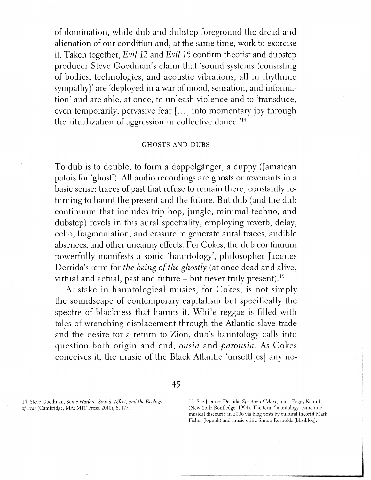of domination, while dub and dubstep foreground the dread and alienation of our condition and, at the same time, work to exorcise it. Taken together, *Evil.12* and *Evil.16* confirm theorist and dubstep producer Steve Goodman's claim that 'sound systems (consisting of bodies, technologies, and acoustic vibrations, all in rhythmic sympathy)' are 'deployed in a war of mood, sensation, and information' and are able, at once, to unleash violence and to 'transduce, even temporarily, pervasive fear [ ... ] into momentary joy through the ritualization of aggression in collective dance.<sup>'14</sup>

# **GHOSTS AND DUBS**

To dub is to double, to form a doppelganger, a duppy (Jamaican patois for 'ghost'). All audio recordings are ghosts or revenants in a basic sense: traces of past that refuse to remain there, constantly returning to haunt the present and the future. But dub (and the dub continuum that includes trip hop, jungle, minimal techno, and dubstep) revels in this aural spectrality, employing reverb, delay, echo, fragmentation, and erasure to generate aural traces, audible absences, and other uncanny effects. For Cokes, the dub continuum powerfully manifests a sonic 'hauntology', philosopher Jacques Derrida's term for *the being of the ghostly* ( at once dead and alive, virtual and actual, past and future  $-$  but never truly present).<sup>15</sup>

At stake in hauntological musics, for Cokes, is not simply the soundscape of contemporary capitalism but specifically the spectre of blackness that haunts it. While reggae is filled with tales of wrenching displacement through the Atlantic slave trade and the desire for a return to Zion, dub's hauntology calls into question both origin and end, *ousia* and *parousia.* As Cokes conceives it, the music of the Black Atlantic 'unsettl[es] any no-

14. Steve Goodman, *Sonic Warfare: Sound, Affect, and the Ecology of Fear* (Cambridge, MA: MIT Press, 2010), 6, 173.

# 45

15. See Jacques Derrida, *Spectres of Marx,* trans. Peggy Kamuf (New York: Routledge, 1994). The term 'hauntology' came into musical discourse in 2006 via blog posts by cultural theorist Mark Fisher (k-punk) and music critic Simon Reynolds (blissblog).

I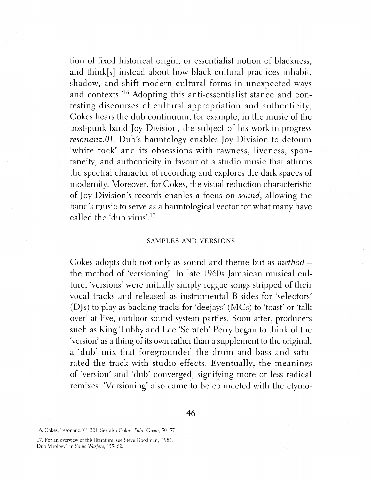tion of fixed historical origin, or essentialist notion of blackness, and think[s] instead about how black cultural practices inhabit, shadow, and shift modern cultural forms in unexpected ways and contexts.'<sup>16</sup> Adopting this anti-essentialist stance and contesting discourses of cultural appropriation and authenticity, Cokes hears the dub continuum, for example, in the music of the post-punk band Joy Division, the subject of his work-in-progress *resonanz.01.* Dub's hauntology enables Joy Division to detourn 'white rock' and its obsessions with rawness, liveness, spontaneity, and authenticity in favour of a studio music that affirms the spectral character of recording and explores the dark spaces of modernity. Moreover, for Cokes, the visual reduction characteristic of Joy Division's records enables a focus on *sound,* allowing the band's music to serve as a hauntological vector for what many have called the 'dub virus'. <sup>17</sup>

# **SAMPLES AND VERSIONS**

Cokes adopts dub not only as sound and theme but as *method* – the method of 'versioning'. In late 1960s Jamaican musical culture, 'versions' were initially simply reggae songs stripped of their vocal tracks and released as instrumental B-sides for 'selectors' (DJs) to play as backing tracks for 'deejays' (MCs) to 'toast' or 'talk over' at live, outdoor sound system parties. Soon after, producers such as King Tubby and Lee 'Scratch' Perry began to think of the 'version' as a thing of its own rather than a supplement to the original, a 'dub' mix that foregrounded the drum and bass and saturated the track with studio effects. Eventually, the meanings of 'version' and 'dub' converged, signifying more or less radical remixes. 'Versioning' also came to be connected with the etymo-

<sup>16.</sup> Cokes, 'resonanz.01', 221. See also Cokes, *Polar Green,* 50-57.

<sup>17.</sup> For an overview of this literature, see Steve Goodman, '1985: Dub Virology', in *Sonic Warfare,* 155-62.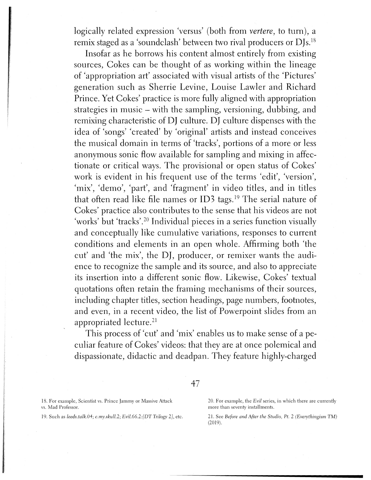logically related expression 'versus' (both from *vertere,* to turn), a remix staged as a 'soundclash' between two rival producers or DJs.18

Insofar as he borrows his content almost entirely from existing sources, Cokes can be thought of as working within the lineage of 'appropriation art' associated with visual artists of the 'Pictures' generation such as Sherrie Levine, Louise Lawler and Richard Prince. Yet Cokes' practice is more fully aligned with appropriation strategies in music – with the sampling, versioning, dubbing, and remixing characteristic of DJ culture. DJ culture dispenses with the idea of 'songs' 'created' by 'original' artists and instead conceives the musical domain in terms of 'tracks', portions of a more or less anonymous sonic flow available for sampling and mixing in affectionate or critical ways. The provisional or open status of Cokes' work is evident in his frequent use of the terms 'edit', 'version', 'mix', 'demo', 'part', and 'fragment' in video titles, and in titles that often read like file names or ID3 tags.<sup>19</sup> The serial nature of Cokes' practice also contributes to the sense that his videos are not 'works' but 'tracks'.<sup>20</sup> Individual pieces in a series function visually and conceptually like cumulative variations, responses to current conditions and elements in an open whole. Affirming both 'the cut' and 'the mix', the DJ, producer, or remixer wants the audience to recognize the sample and its source, and also to appreciate its insertion into a different sonic flow. Likewise, Cokes' textual quotations often retain the framing mechanisms of their sources, including chapter titles, section headings, page numbers, footnotes, and even, in a recent video, the list of Powerpoint slides from an appropriated lecture.<sup>21</sup>

This process of 'cut' and 'mix' enables us to make sense of a peculiar feature of Cokes' videos: that they are at once polemical and dispassionate, didactic and deadpan. They feature highly-charged

47

18. For example, Scientist vs. Prince Jammy or Massive Attack vs. Mad Professor.

19. Such as *leeds.talk.04; c.my.skull.2; Evil.66.2:[DT Trilogy 2],* etc.

20. For example, the *Evil* series, in which there are currently more than seventy installments.

21. See *Before and After the Studio, Pt.* 2 *(Everythingism TM)*  (2019).